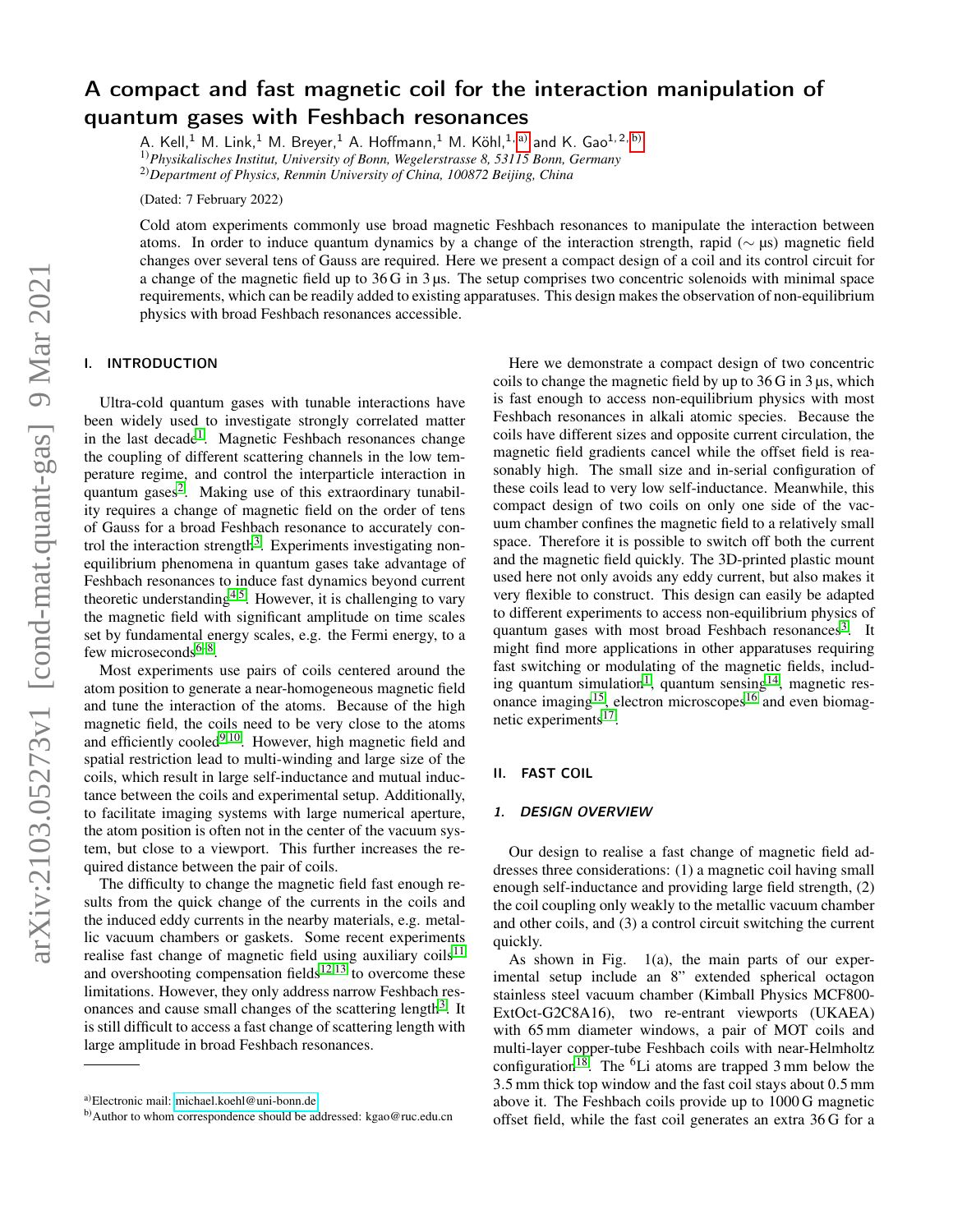# A compact and fast magnetic coil for the interaction manipulation of quantum gases with Feshbach resonances

A. Kell,<sup>1</sup> M. Link,<sup>1</sup> M. Breyer,<sup>1</sup> A. Hoffmann,<sup>1</sup> M. Köhl,<sup>1, [a\)](#page-0-0)</sup> and K. Gao<sup>1,2, [b\)](#page-0-1)</sup> 1)*Physikalisches Institut, University of Bonn, Wegelerstrasse 8, 53115 Bonn, Germany* 2)*Department of Physics, Renmin University of China, 100872 Beijing, China*

(Dated: 7 February 2022)

Cold atom experiments commonly use broad magnetic Feshbach resonances to manipulate the interaction between atoms. In order to induce quantum dynamics by a change of the interaction strength, rapid (∼ µs) magnetic field changes over several tens of Gauss are required. Here we present a compact design of a coil and its control circuit for a change of the magnetic field up to 36 G in 3 µs. The setup comprises two concentric solenoids with minimal space requirements, which can be readily added to existing apparatuses. This design makes the observation of non-equilibrium physics with broad Feshbach resonances accessible.

# I. INTRODUCTION

Ultra-cold quantum gases with tunable interactions have been widely used to investigate strongly correlated matter in the last decade<sup>[1](#page-3-0)</sup>. Magnetic Feshbach resonances change the coupling of different scattering channels in the low temperature regime, and control the interparticle interaction in quantum gases<sup>[2](#page-3-1)</sup>. Making use of this extraordinary tunability requires a change of magnetic field on the order of tens of Gauss for a broad Feshbach resonance to accurately con-trol the interaction strength<sup>[3](#page-3-2)</sup>. Experiments investigating nonequilibrium phenomena in quantum gases take advantage of Feshbach resonances to induce fast dynamics beyond current theoretic understanding<sup>[4,](#page-3-3)[5](#page-3-4)</sup>. However, it is challenging to vary the magnetic field with significant amplitude on time scales set by fundamental energy scales, e.g. the Fermi energy, to a few microseconds $6-8$  $6-8$ .

Most experiments use pairs of coils centered around the atom position to generate a near-homogeneous magnetic field and tune the interaction of the atoms. Because of the high magnetic field, the coils need to be very close to the atoms and efficiently cooled<sup>[9,](#page-3-7)[10](#page-3-8)</sup>. However, high magnetic field and spatial restriction lead to multi-winding and large size of the coils, which result in large self-inductance and mutual inductance between the coils and experimental setup. Additionally, to facilitate imaging systems with large numerical aperture, the atom position is often not in the center of the vacuum system, but close to a viewport. This further increases the required distance between the pair of coils.

The difficulty to change the magnetic field fast enough results from the quick change of the currents in the coils and the induced eddy currents in the nearby materials, e.g. metallic vacuum chambers or gaskets. Some recent experiments realise fast change of magnetic field using auxiliary  $\cosh^{11}$  $\cosh^{11}$  $\cosh^{11}$ and overshooting compensation fields<sup>[12](#page-3-10)[,13](#page-3-11)</sup> to overcome these limitations. However, they only address narrow Feshbach res-onances and cause small changes of the scattering length<sup>[3](#page-3-2)</sup>. It is still difficult to access a fast change of scattering length with large amplitude in broad Feshbach resonances.

Here we demonstrate a compact design of two concentric coils to change the magnetic field by up to 36 G in 3 µs, which is fast enough to access non-equilibrium physics with most Feshbach resonances in alkali atomic species. Because the coils have different sizes and opposite current circulation, the magnetic field gradients cancel while the offset field is reasonably high. The small size and in-serial configuration of these coils lead to very low self-inductance. Meanwhile, this compact design of two coils on only one side of the vacuum chamber confines the magnetic field to a relatively small space. Therefore it is possible to switch off both the current and the magnetic field quickly. The 3D-printed plastic mount used here not only avoids any eddy current, but also makes it very flexible to construct. This design can easily be adapted to different experiments to access non-equilibrium physics of quantum gases with most broad Feshbach resonances<sup>[3](#page-3-2)</sup>. It might find more applications in other apparatuses requiring fast switching or modulating of the magnetic fields, includ-ing quantum simulation<sup>[1](#page-3-0)</sup>, quantum sensing<sup>[14](#page-3-12)</sup>, magnetic res-onance imaging<sup>[15](#page-3-13)</sup>, electron microscopes<sup>[16](#page-3-14)</sup> and even biomag-netic experiments<sup>[17](#page-3-15)</sup>.

#### II. FAST COIL

#### 1. DESIGN OVERVIEW

Our design to realise a fast change of magnetic field addresses three considerations: (1) a magnetic coil having small enough self-inductance and providing large field strength, (2) the coil coupling only weakly to the metallic vacuum chamber and other coils, and (3) a control circuit switching the current quickly.

As shown in Fig.  $1(a)$ , the main parts of our experimental setup include an 8" extended spherical octagon stainless steel vacuum chamber (Kimball Physics MCF800- ExtOct-G2C8A16), two re-entrant viewports (UKAEA) with 65 mm diameter windows, a pair of MOT coils and multi-layer copper-tube Feshbach coils with near-Helmholtz configuration<sup>[18](#page-3-16)</sup>. The  ${}^{6}$ Li atoms are trapped 3 mm below the 3.5 mm thick top window and the fast coil stays about 0.5 mm above it. The Feshbach coils provide up to 1000 G magnetic offset field, while the fast coil generates an extra 36 G for a

<span id="page-0-0"></span>a)Electronic mail: [michael.koehl@uni-bonn.de](mailto:michael.koehl@uni-bonn.de)

<span id="page-0-1"></span>b) Author to whom correspondence should be addressed: kgao@ruc.edu.cn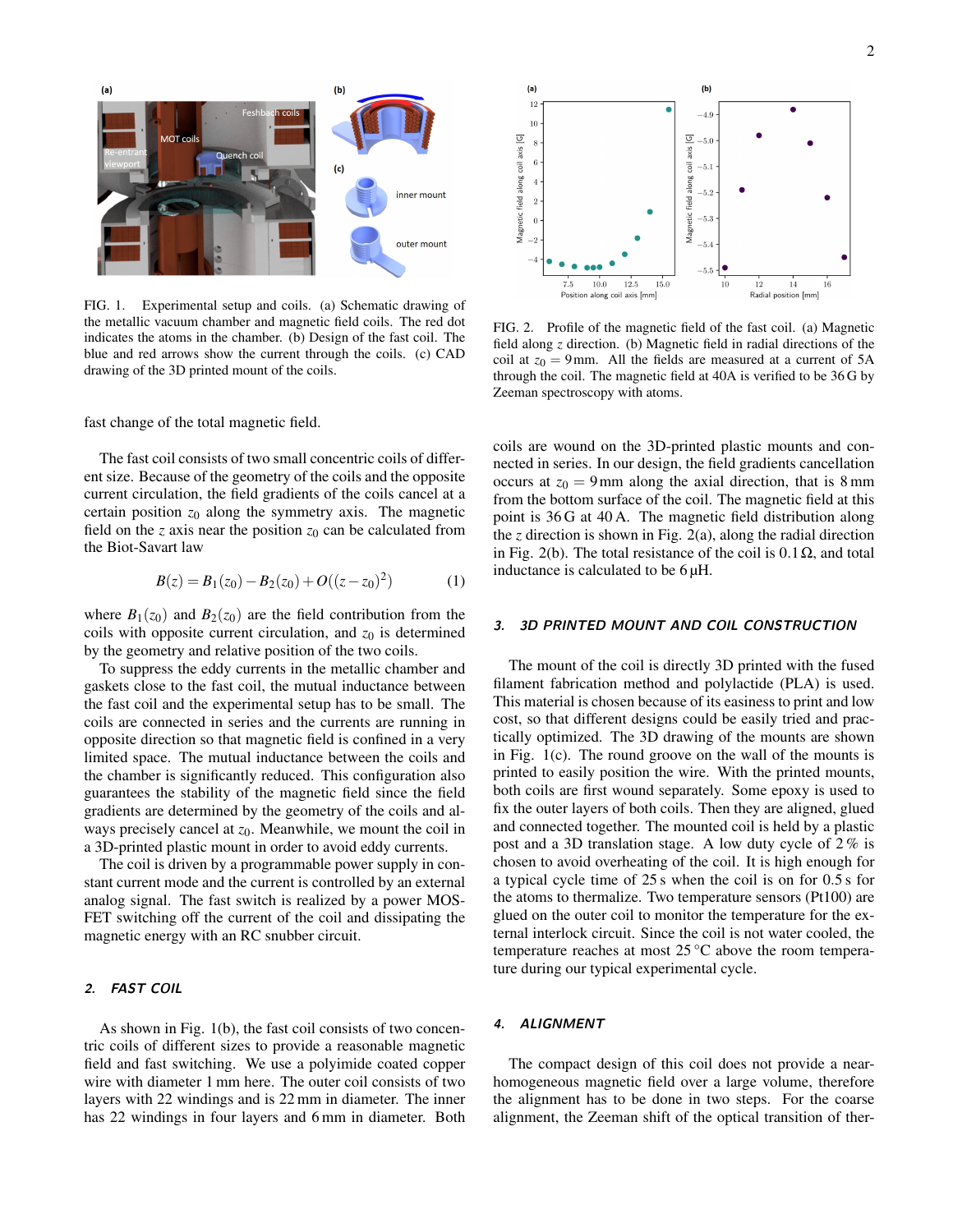

FIG. 1. Experimental setup and coils. (a) Schematic drawing of the metallic vacuum chamber and magnetic field coils. The red dot indicates the atoms in the chamber. (b) Design of the fast coil. The blue and red arrows show the current through the coils. (c) CAD drawing of the 3D printed mount of the coils.

fast change of the total magnetic field.

The fast coil consists of two small concentric coils of different size. Because of the geometry of the coils and the opposite current circulation, the field gradients of the coils cancel at a certain position  $z_0$  along the symmetry axis. The magnetic field on the *z* axis near the position  $z_0$  can be calculated from the Biot-Savart law

$$
B(z) = B_1(z_0) - B_2(z_0) + O((z - z_0)^2)
$$
 (1)

where  $B_1(z_0)$  and  $B_2(z_0)$  are the field contribution from the coils with opposite current circulation, and  $z_0$  is determined by the geometry and relative position of the two coils.

To suppress the eddy currents in the metallic chamber and gaskets close to the fast coil, the mutual inductance between the fast coil and the experimental setup has to be small. The coils are connected in series and the currents are running in opposite direction so that magnetic field is confined in a very limited space. The mutual inductance between the coils and the chamber is significantly reduced. This configuration also guarantees the stability of the magnetic field since the field gradients are determined by the geometry of the coils and always precisely cancel at  $z_0$ . Meanwhile, we mount the coil in a 3D-printed plastic mount in order to avoid eddy currents.

The coil is driven by a programmable power supply in constant current mode and the current is controlled by an external analog signal. The fast switch is realized by a power MOS-FET switching off the current of the coil and dissipating the magnetic energy with an RC snubber circuit.

#### 2. FAST COIL

As shown in Fig. 1(b), the fast coil consists of two concentric coils of different sizes to provide a reasonable magnetic field and fast switching. We use a polyimide coated copper wire with diameter 1 mm here. The outer coil consists of two layers with 22 windings and is 22 mm in diameter. The inner has 22 windings in four layers and 6 mm in diameter. Both



FIG. 2. Profile of the magnetic field of the fast coil. (a) Magnetic field along *z* direction. (b) Magnetic field in radial directions of the coil at  $z_0 = 9$  mm. All the fields are measured at a current of 5A through the coil. The magnetic field at 40A is verified to be 36 G by Zeeman spectroscopy with atoms.

coils are wound on the 3D-printed plastic mounts and connected in series. In our design, the field gradients cancellation occurs at  $z_0 = 9$  mm along the axial direction, that is 8 mm from the bottom surface of the coil. The magnetic field at this point is 36 G at 40 A. The magnetic field distribution along the  $z$  direction is shown in Fig. 2(a), along the radial direction in Fig. 2(b). The total resistance of the coil is  $0.1 \Omega$ , and total inductance is calculated to be 6 µH.

# 3. 3D PRINTED MOUNT AND COIL CONSTRUCTION

The mount of the coil is directly 3D printed with the fused filament fabrication method and polylactide (PLA) is used. This material is chosen because of its easiness to print and low cost, so that different designs could be easily tried and practically optimized. The 3D drawing of the mounts are shown in Fig. 1(c). The round groove on the wall of the mounts is printed to easily position the wire. With the printed mounts, both coils are first wound separately. Some epoxy is used to fix the outer layers of both coils. Then they are aligned, glued and connected together. The mounted coil is held by a plastic post and a 3D translation stage. A low duty cycle of 2 % is chosen to avoid overheating of the coil. It is high enough for a typical cycle time of 25 s when the coil is on for 0.5 s for the atoms to thermalize. Two temperature sensors (Pt100) are glued on the outer coil to monitor the temperature for the external interlock circuit. Since the coil is not water cooled, the temperature reaches at most 25 °C above the room temperature during our typical experimental cycle.

## 4. ALIGNMENT

The compact design of this coil does not provide a nearhomogeneous magnetic field over a large volume, therefore the alignment has to be done in two steps. For the coarse alignment, the Zeeman shift of the optical transition of ther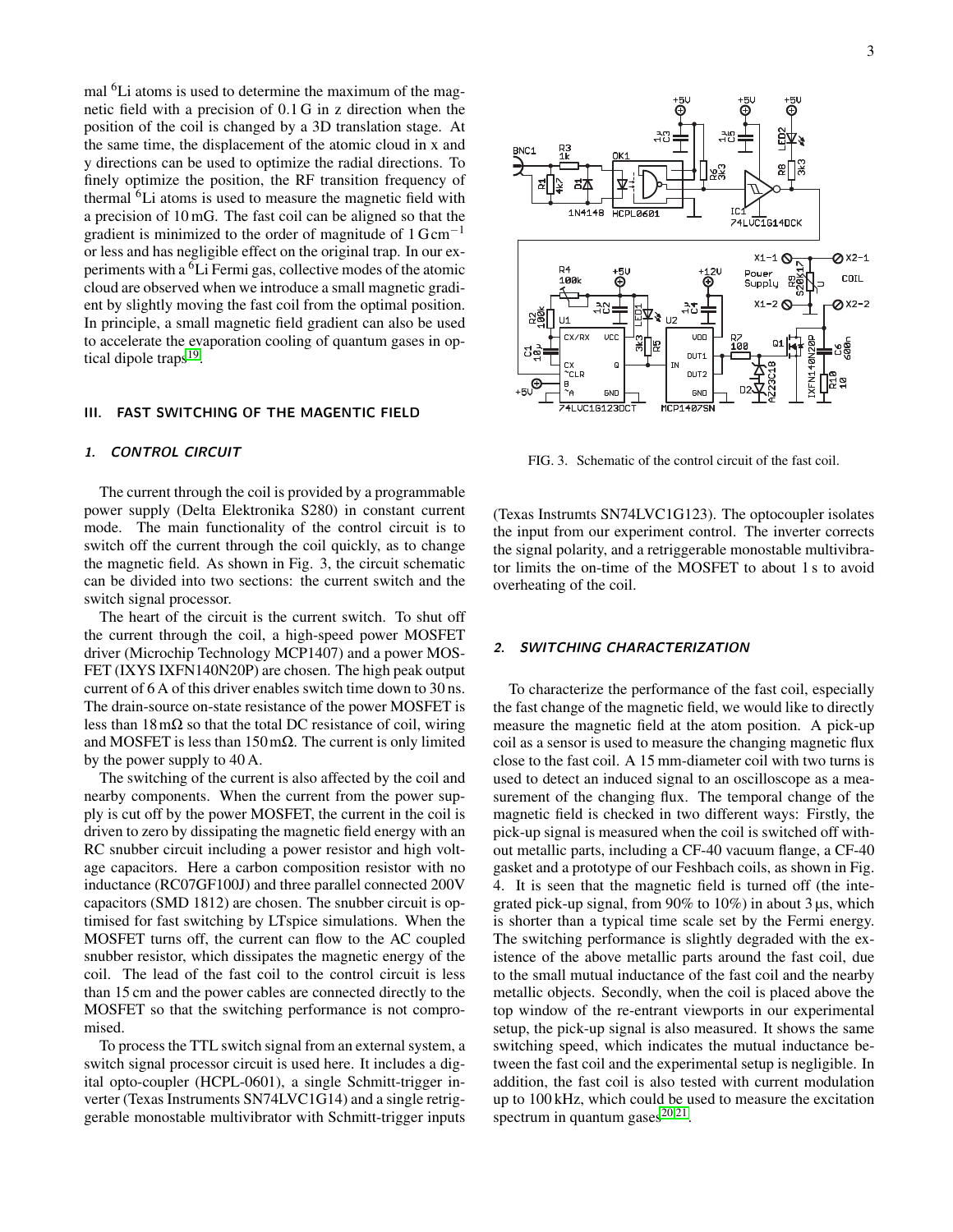mal <sup>6</sup>Li atoms is used to determine the maximum of the magnetic field with a precision of 0.1 G in z direction when the position of the coil is changed by a 3D translation stage. At the same time, the displacement of the atomic cloud in x and y directions can be used to optimize the radial directions. To finely optimize the position, the RF transition frequency of thermal <sup>6</sup>Li atoms is used to measure the magnetic field with a precision of 10 mG. The fast coil can be aligned so that the gradient is minimized to the order of magnitude of  $1 \text{ Gcm}^{-1}$ or less and has negligible effect on the original trap. In our experiments with a <sup>6</sup>Li Fermi gas, collective modes of the atomic cloud are observed when we introduce a small magnetic gradient by slightly moving the fast coil from the optimal position. In principle, a small magnetic field gradient can also be used to accelerate the evaporation cooling of quantum gases in op-tical dipole traps<sup>[19](#page-3-17)</sup>.

#### III. FAST SWITCHING OF THE MAGENTIC FIELD

#### 1. CONTROL CIRCUIT

The current through the coil is provided by a programmable power supply (Delta Elektronika S280) in constant current mode. The main functionality of the control circuit is to switch off the current through the coil quickly, as to change the magnetic field. As shown in Fig. 3, the circuit schematic can be divided into two sections: the current switch and the switch signal processor.

The heart of the circuit is the current switch. To shut off the current through the coil, a high-speed power MOSFET driver (Microchip Technology MCP1407) and a power MOS-FET (IXYS IXFN140N20P) are chosen. The high peak output current of 6 A of this driver enables switch time down to 30 ns. The drain-source on-state resistance of the power MOSFET is less than  $18 \text{ m}\Omega$  so that the total DC resistance of coil, wiring and MOSFET is less than  $150 \text{ mA}$ . The current is only limited by the power supply to 40 A.

The switching of the current is also affected by the coil and nearby components. When the current from the power supply is cut off by the power MOSFET, the current in the coil is driven to zero by dissipating the magnetic field energy with an RC snubber circuit including a power resistor and high voltage capacitors. Here a carbon composition resistor with no inductance (RC07GF100J) and three parallel connected 200V capacitors (SMD 1812) are chosen. The snubber circuit is optimised for fast switching by LTspice simulations. When the MOSFET turns off, the current can flow to the AC coupled snubber resistor, which dissipates the magnetic energy of the coil. The lead of the fast coil to the control circuit is less than 15 cm and the power cables are connected directly to the MOSFET so that the switching performance is not compromised.

To process the TTL switch signal from an external system, a switch signal processor circuit is used here. It includes a digital opto-coupler (HCPL-0601), a single Schmitt-trigger inverter (Texas Instruments SN74LVC1G14) and a single retriggerable monostable multivibrator with Schmitt-trigger inputs



FIG. 3. Schematic of the control circuit of the fast coil.

(Texas Instrumts SN74LVC1G123). The optocoupler isolates the input from our experiment control. The inverter corrects the signal polarity, and a retriggerable monostable multivibrator limits the on-time of the MOSFET to about 1 s to avoid overheating of the coil.

#### 2. SWITCHING CHARACTERIZATION

To characterize the performance of the fast coil, especially the fast change of the magnetic field, we would like to directly measure the magnetic field at the atom position. A pick-up coil as a sensor is used to measure the changing magnetic flux close to the fast coil. A 15 mm-diameter coil with two turns is used to detect an induced signal to an oscilloscope as a measurement of the changing flux. The temporal change of the magnetic field is checked in two different ways: Firstly, the pick-up signal is measured when the coil is switched off without metallic parts, including a CF-40 vacuum flange, a CF-40 gasket and a prototype of our Feshbach coils, as shown in Fig. 4. It is seen that the magnetic field is turned off (the integrated pick-up signal, from 90% to 10%) in about 3 µs, which is shorter than a typical time scale set by the Fermi energy. The switching performance is slightly degraded with the existence of the above metallic parts around the fast coil, due to the small mutual inductance of the fast coil and the nearby metallic objects. Secondly, when the coil is placed above the top window of the re-entrant viewports in our experimental setup, the pick-up signal is also measured. It shows the same switching speed, which indicates the mutual inductance between the fast coil and the experimental setup is negligible. In addition, the fast coil is also tested with current modulation up to 100 kHz, which could be used to measure the excitation spectrum in quantum gases $20,21$  $20,21$ .